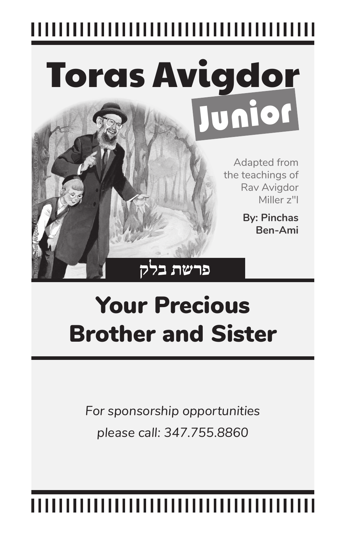# Toras Avigdor Junior Illustration: Rav Avigdor Miller and the Appleseed, Judaica Press

Adapted from the teachings of Rav Avigdor Miller z"l

> **By: Pinchas Ben-Ami**

## Your Precious Brother and Sister

**פרשת בלק**

*For sponsorship opportunities please call: 347.755.8860* 

### ,,,,,,,,,,,,,,,,,,,,,,,,,,,,,,,,,,,,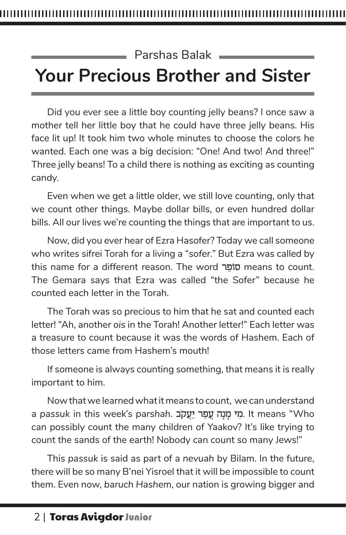#### Parshas Balak **Your Precious Brother and Sister**

Did you ever see a little boy counting jelly beans? I once saw a mother tell her little boy that he could have three jelly beans. His face lit up! It took him two whole minutes to choose the colors he wanted. Each one was a big decision: "One! And two! And three!" Three jelly beans! To a child there is nothing as exciting as counting candy.

Even when we get a little older, we still love counting, only that we count other things. Maybe dollar bills, or even hundred dollar bills. All our lives we're counting the things that are important to us.

Now, did you ever hear of Ezra Hasofer? Today we call someone who writes sifrei Torah for a living a "*sofer*." But Ezra was called by this name for a different reason. The word סופר means to count. The Gemara says that Ezra was called "the Sofer" because he counted each letter in the Torah.

The Torah was so precious to him that he sat and counted each letter! "Ah, another *ois* in the Torah! Another letter!" Each letter was a treasure to count because it was the words of Hashem. Each of those letters came from Hashem's mouth!

If someone is always counting something, that means it is really important to him.

Now that we learned what it means to count, we can understand a passuk in this week's parshah. מי מנה עפר יעקב. It means "Who can possibly count the many children of Yaakov? It's like trying to count the sands of the earth! Nobody can count so many Jews!"

This *passuk* is said as part of a *nevuah* by Bilam. In the future, there will be so many B'nei Yisroel that it will be impossible to count them. Even now, *baruch Hashem*, our nation is growing bigger and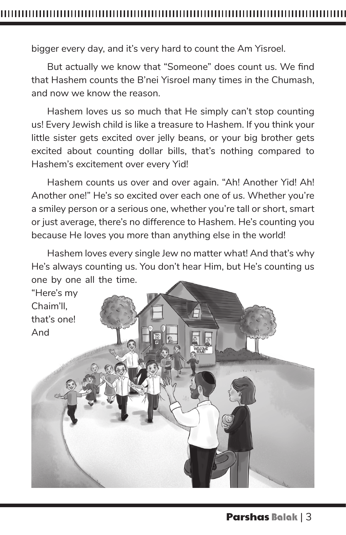bigger every day, and it's very hard to count the Am Yisroel.

But actually we know that "Someone" does count us. We find that Hashem counts the B'nei Yisroel many times in the Chumash, and now we know the reason.

Hashem loves us so much that He simply can't stop counting us! Every Jewish child is like a treasure to Hashem. If you think your little sister gets excited over jelly beans, or your big brother gets excited about counting dollar bills, that's nothing compared to Hashem's excitement over every Yid!

Hashem counts us over and over again. "Ah! Another Yid! Ah! Another one!" He's so excited over each one of us. Whether you're a smiley person or a serious one, whether you're tall or short, smart or just average, there's no difference to Hashem. He's counting you because He loves you more than anything else in the world!

Hashem loves every single Jew no matter what! And that's why He's always counting us. You don't hear Him, but He's counting us one by one all the time.

"Here's my Chaim'll, that's one! And